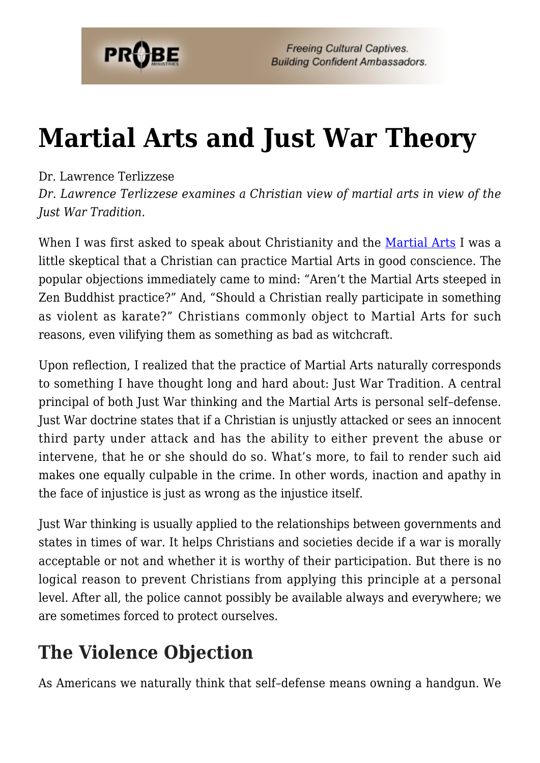

## **[Martial Arts and Just War Theory](https://probe.org/martial-arts-and-just-war-theory/)**

## Dr. Lawrence Terlizzese

*Dr. Lawrence Terlizzese examines a Christian view of martial arts in view of the Just War Tradition.*

When I was first asked to speak about Christianity and the [Martial Arts](https://www.probe.org/martial-arts-2/) I was a little skeptical that a Christian can practice Martial Arts in good conscience. The popular objections immediately came to mind: "Aren't the Martial Arts steeped in Zen Buddhist practice?" And, "Should a Christian really participate in something as violent as karate?" Christians commonly object to Martial Arts for such reasons, even vilifying them as something as bad as witchcraft.

Upon reflection, I realized that the practice of Martial Arts naturally corresponds to something I have thought long and hard about: Just War Tradition. A central principal of both Just War thinking and the Martial Arts is personal self–defense. Just War doctrine states that if a Christian is unjustly attacked or sees an innocent third party under attack and has the ability to either prevent the abuse or intervene, that he or she should do so. What's more, to fail to render such aid makes one equally culpable in the crime. In other words, inaction and apathy in the face of injustice is just as wrong as the injustice itself.

Just War thinking is usually applied to the relationships between governments and states in times of war. It helps Christians and societies decide if a war is morally acceptable or not and whether it is worthy of their participation. But there is no logical reason to prevent Christians from applying this principle at a personal level. After all, the police cannot possibly be available always and everywhere; we are sometimes forced to protect ourselves.

## **The Violence Objection**

As Americans we naturally think that self–defense means owning a handgun. We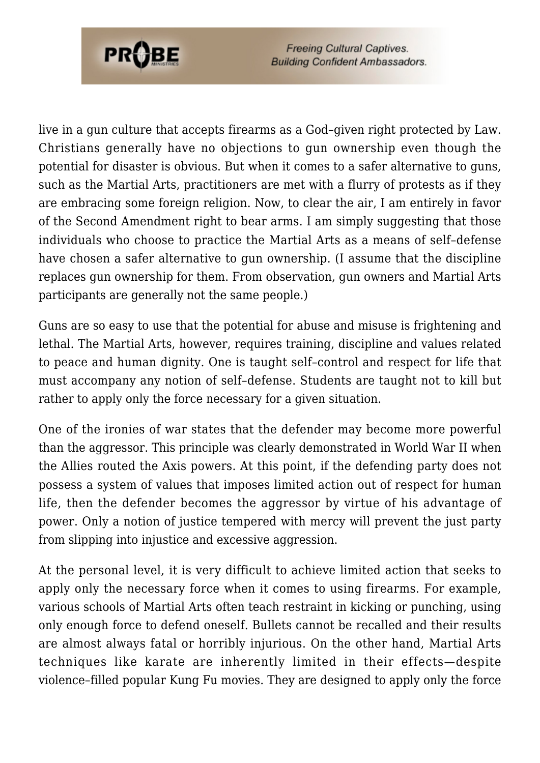

**Freeing Cultural Captives. Building Confident Ambassadors.** 

live in a gun culture that accepts firearms as a God–given right protected by Law. Christians generally have no objections to gun ownership even though the potential for disaster is obvious. But when it comes to a safer alternative to guns, such as the Martial Arts, practitioners are met with a flurry of protests as if they are embracing some foreign religion. Now, to clear the air, I am entirely in favor of the Second Amendment right to bear arms. I am simply suggesting that those individuals who choose to practice the Martial Arts as a means of self–defense have chosen a safer alternative to gun ownership. (I assume that the discipline replaces gun ownership for them. From observation, gun owners and Martial Arts participants are generally not the same people.)

Guns are so easy to use that the potential for abuse and misuse is frightening and lethal. The Martial Arts, however, requires training, discipline and values related to peace and human dignity. One is taught self–control and respect for life that must accompany any notion of self–defense. Students are taught not to kill but rather to apply only the force necessary for a given situation.

One of the ironies of war states that the defender may become more powerful than the aggressor. This principle was clearly demonstrated in World War II when the Allies routed the Axis powers. At this point, if the defending party does not possess a system of values that imposes limited action out of respect for human life, then the defender becomes the aggressor by virtue of his advantage of power. Only a notion of justice tempered with mercy will prevent the just party from slipping into injustice and excessive aggression.

At the personal level, it is very difficult to achieve limited action that seeks to apply only the necessary force when it comes to using firearms. For example, various schools of Martial Arts often teach restraint in kicking or punching, using only enough force to defend oneself. Bullets cannot be recalled and their results are almost always fatal or horribly injurious. On the other hand, Martial Arts techniques like karate are inherently limited in their effects—despite violence–filled popular Kung Fu movies. They are designed to apply only the force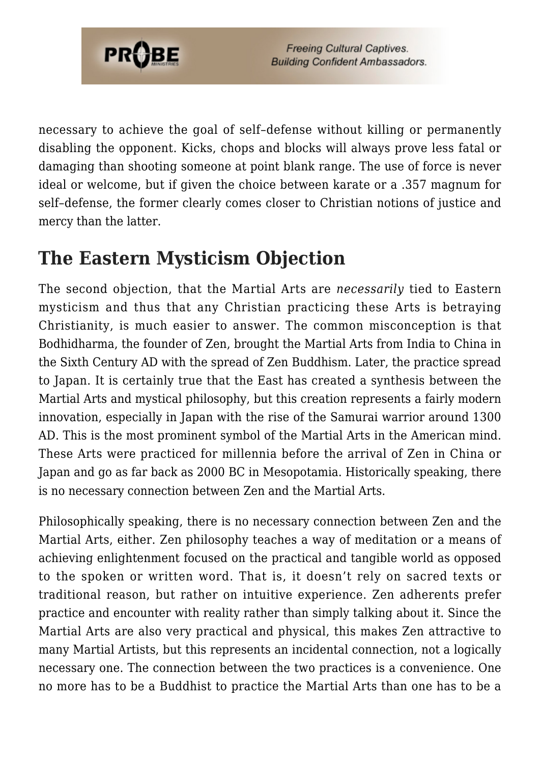

necessary to achieve the goal of self–defense without killing or permanently disabling the opponent. Kicks, chops and blocks will always prove less fatal or damaging than shooting someone at point blank range. The use of force is never ideal or welcome, but if given the choice between karate or a .357 magnum for self–defense, the former clearly comes closer to Christian notions of justice and mercy than the latter.

## **The Eastern Mysticism Objection**

The second objection, that the Martial Arts are *necessarily* tied to Eastern mysticism and thus that any Christian practicing these Arts is betraying Christianity, is much easier to answer. The common misconception is that Bodhidharma, the founder of Zen, brought the Martial Arts from India to China in the Sixth Century AD with the spread of Zen Buddhism. Later, the practice spread to Japan. It is certainly true that the East has created a synthesis between the Martial Arts and mystical philosophy, but this creation represents a fairly modern innovation, especially in Japan with the rise of the Samurai warrior around 1300 AD. This is the most prominent symbol of the Martial Arts in the American mind. These Arts were practiced for millennia before the arrival of Zen in China or Japan and go as far back as 2000 BC in Mesopotamia. Historically speaking, there is no necessary connection between Zen and the Martial Arts.

Philosophically speaking, there is no necessary connection between Zen and the Martial Arts, either. Zen philosophy teaches a way of meditation or a means of achieving enlightenment focused on the practical and tangible world as opposed to the spoken or written word. That is, it doesn't rely on sacred texts or traditional reason, but rather on intuitive experience. Zen adherents prefer practice and encounter with reality rather than simply talking about it. Since the Martial Arts are also very practical and physical, this makes Zen attractive to many Martial Artists, but this represents an incidental connection, not a logically necessary one. The connection between the two practices is a convenience. One no more has to be a Buddhist to practice the Martial Arts than one has to be a